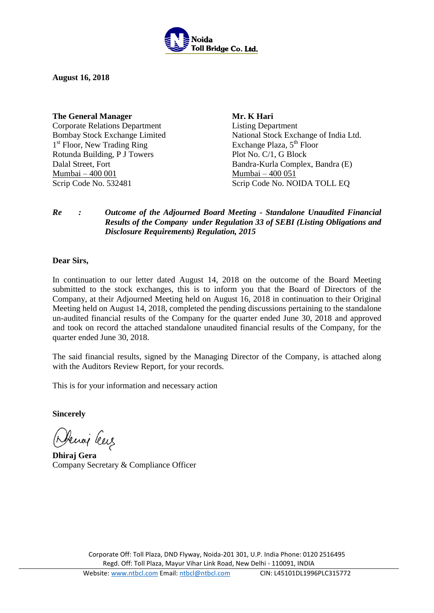

**August 16, 2018** 

**The General Manager** Corporate Relations Department Bombay Stock Exchange Limited 1<sup>st</sup> Floor, New Trading Ring Rotunda Building, P J Towers Dalal Street, Fort Mumbai – 400 001

**Mr. K Hari** Listing Department National Stock Exchange of India Ltd. Exchange Plaza,  $5<sup>th</sup>$  Floor Plot No. C/1, G Block Bandra-Kurla Complex, Bandra (E) Mumbai – 400 051 Scrip Code No. 532481 Scrip Code No. NOIDA TOLL EQ

## *Re : Outcome of the Adjourned Board Meeting - Standalone Unaudited Financial Results of the Company under Regulation 33 of SEBI (Listing Obligations and Disclosure Requirements) Regulation, 2015*

#### **Dear Sirs,**

In continuation to our letter dated August 14, 2018 on the outcome of the Board Meeting submitted to the stock exchanges, this is to inform you that the Board of Directors of the Company, at their Adjourned Meeting held on August 16, 2018 in continuation to their Original Meeting held on August 14, 2018, completed the pending discussions pertaining to the standalone un-audited financial results of the Company for the quarter ended June 30, 2018 and approved and took on record the attached standalone unaudited financial results of the Company, for the quarter ended June 30, 2018.

The said financial results, signed by the Managing Director of the Company, is attached along with the Auditors Review Report, for your records.

This is for your information and necessary action

**Sincerely** 

Denoi leus

**Dhiraj Gera**  Company Secretary & Compliance Officer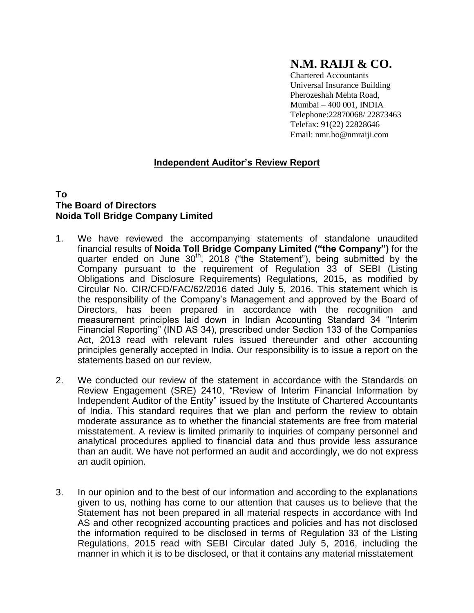# **N.M. RAIJI & CO.**

Chartered Accountants Universal Insurance Building Pherozeshah Mehta Road, Mumbai – 400 001, INDIA Telephone:22870068/ 22873463 Telefax: 91(22) 22828646 Email: [nmr.ho@nmraiji.com](mailto:nmr.ho@nmraiji.com)

# **Independent Auditor's Review Report**

### **To The Board of Directors Noida Toll Bridge Company Limited**

- 1. We have reviewed the accompanying statements of standalone unaudited financial results of **Noida Toll Bridge Company Limited ("the Company")** for the quarter ended on June 30<sup>th</sup>, 2018 ("the Statement"), being submitted by the Company pursuant to the requirement of Regulation 33 of SEBI (Listing Obligations and Disclosure Requirements) Regulations, 2015, as modified by Circular No. CIR/CFD/FAC/62/2016 dated July 5, 2016. This statement which is the responsibility of the Company's Management and approved by the Board of Directors, has been prepared in accordance with the recognition and measurement principles laid down in Indian Accounting Standard 34 "Interim Financial Reporting" (IND AS 34), prescribed under Section 133 of the Companies Act, 2013 read with relevant rules issued thereunder and other accounting principles generally accepted in India. Our responsibility is to issue a report on the statements based on our review.
- 2. We conducted our review of the statement in accordance with the Standards on Review Engagement (SRE) 2410, "Review of Interim Financial Information by Independent Auditor of the Entity" issued by the Institute of Chartered Accountants of India. This standard requires that we plan and perform the review to obtain moderate assurance as to whether the financial statements are free from material misstatement. A review is limited primarily to inquiries of company personnel and analytical procedures applied to financial data and thus provide less assurance than an audit. We have not performed an audit and accordingly, we do not express an audit opinion.
- 3. In our opinion and to the best of our information and according to the explanations given to us, nothing has come to our attention that causes us to believe that the Statement has not been prepared in all material respects in accordance with Ind AS and other recognized accounting practices and policies and has not disclosed the information required to be disclosed in terms of Regulation 33 of the Listing Regulations, 2015 read with SEBI Circular dated July 5, 2016, including the manner in which it is to be disclosed, or that it contains any material misstatement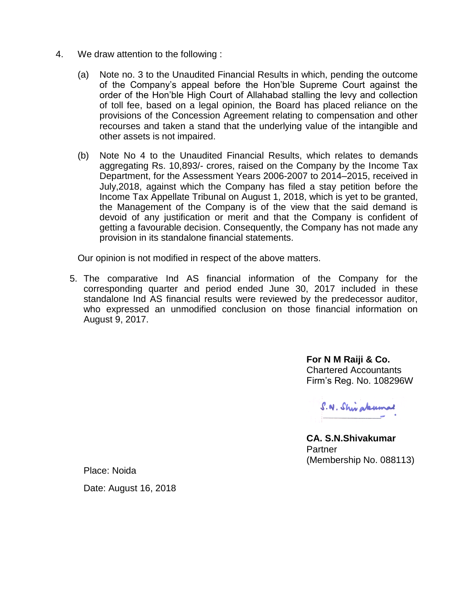- 4. We draw attention to the following :
	- (a) Note no. 3 to the Unaudited Financial Results in which, pending the outcome of the Company's appeal before the Hon'ble Supreme Court against the order of the Hon'ble High Court of Allahabad stalling the levy and collection of toll fee, based on a legal opinion, the Board has placed reliance on the provisions of the Concession Agreement relating to compensation and other recourses and taken a stand that the underlying value of the intangible and other assets is not impaired.
	- (b) Note No 4 to the Unaudited Financial Results, which relates to demands aggregating Rs. 10,893/- crores, raised on the Company by the Income Tax Department, for the Assessment Years 2006-2007 to 2014–2015, received in July,2018, against which the Company has filed a stay petition before the Income Tax Appellate Tribunal on August 1, 2018, which is yet to be granted, the Management of the Company is of the view that the said demand is devoid of any justification or merit and that the Company is confident of getting a favourable decision. Consequently, the Company has not made any provision in its standalone financial statements.

Our opinion is not modified in respect of the above matters.

5. The comparative Ind AS financial information of the Company for the corresponding quarter and period ended June 30, 2017 included in these standalone Ind AS financial results were reviewed by the predecessor auditor, who expressed an unmodified conclusion on those financial information on August 9, 2017.

> **For N M Raiji & Co.**  Chartered Accountants Firm's Reg. No. 108296W

S. N. Shirakumad

**CA. S.N.Shivakumar** Partner (Membership No. 088113)

Place: Noida

Date: August 16, 2018